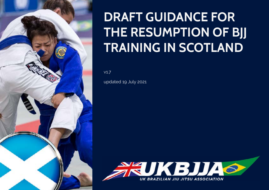

# **DRAFT GUIDANCE FOR THE RESUMPTION OF BJJ TRAINING IN SCOTLAND**

v1.7

updated 19 July 2021

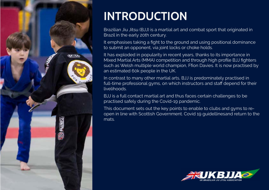

### **INTRODUCTION**

Brazilian Jiu Jitsu (BJJ) is a martial art and combat sport that originated in Brazil in the early 20th century.

It emphasises taking a fight to the ground and using positional dominance to submit an opponent, via joint locks or choke holds.

It has exploded in popularity in recent years, thanks to its importance in Mixed Martial Arts (MMA) competition and through high profile BJJ fighters such as Welsh multiple world champion, Ffion Davies. It is now practised by an estimated 60k people in the UK.

In contrast to many other martial arts, BJJ is predominately practised in full-time professional gyms, on which instructors and staff depend for their livelihoods.

BJJ is a full contact martial art and thus faces certain challenges to be practised safely during the Covid-19 pandemic.

This document sets out the key points to enable to clubs and gyms to reopen in line with Scottish Government. Covid 19 guidellinesand return to the mats.

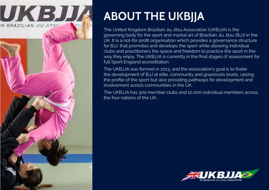

## **ABOUT THE UKBJJA**

The United Kingdom Brazilian Jiu Jitsu Association (UKBJJA) is the governing body for the sport and martial art of Brazilian Jiu Jitsu (BJJ) in the UK. It is a not-for profit organisation which provides a governance structure for BJJ, that promotes and develops the sport while allowing individual clubs and practitioners the space and freedom to practice the sport in the way they enjoy. The UKBJJA is currently in the final stages of assessment for full Sport England accreditation.

The UKBJJA was formed in 2013, and the association's goal is to foster the development of BJJ at elite, community and grassroots levels, raising the profile of the sport but also providing pathways for development and involvement across communities in the UK.

The UKBJJA has 300 member clubs and 10,000 individual members across the four nations of the UK.

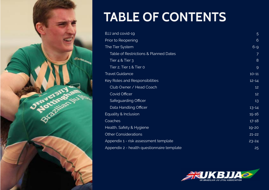

# **TABLE OF CONTENTS**

| BJJ and covid-19                           | 5              |
|--------------------------------------------|----------------|
| Prior to Reopening                         | $6\phantom{1}$ |
| The Tier System                            | $6 - 9$        |
| Table of Restrictions & Planned Dates      | 7              |
| Tier 4 & Tier 3                            | 8              |
| Tier 2, Tier 1 & Tier 0                    | $\mathcal{Q}$  |
| <b>Travel Guidance</b>                     | $10 - 11$      |
| Key Roles and Responsibilities             | $12 - 14$      |
| Club Owner / Head Coach                    | 12             |
| <b>Covid Officer</b>                       | 12             |
| Safeguarding Officer                       | 13             |
| Data Handling Officer                      | $13 - 14$      |
| Equality & Inclusion                       | $15 - 16$      |
| Coaches                                    | $17 - 18$      |
| Health, Safety & Hygiene                   | $19 - 20$      |
| <b>Other Considerations</b>                | $21 - 22$      |
| Appendix 1 - risk assessment template      | $23 - 24$      |
| Appendix 2 - health questionnaire template | 25             |

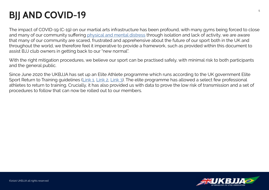### <span id="page-4-0"></span>**BIJ AND COVID-19**

The impact of COVID-19 (C-19) on our martial arts infrastructure has been profound, with many gyms being forced to close and many of our community suffering [physical and mental distress](https://www.ukbjja.org/wp-content/uploads/2021/01/Study-into-the-effects-of-lockdown-on-the-BJJ-community-versus-risks-from-Coronavirus.pdf) through isolation and lack of activity, we are aware that many of our community are scared, frustrated and apprehensive about the future of our sport both in the UK and throughout the world, we therefore feel it imperative to provide a framework, such as provided within this document to assist BJJ club owners in getting back to our "new normal".

With the right mitigation procedures, we believe our sport can be practised safely, with minimal risk to both participants and the general public.

Since June 2020 the UKBJJA has set up an Elite Athlete programme which runs according to the UK government Elite Sport Return to Training guidelines [\(Link 1,](https://www.gov.uk/government/publications/coronavirus-covid-19-guidance-on-phased-return-of-sport-and-recreation/elite-sport-return-to-training-guidance-step-one--2) [Link 2,](https://www.gov.uk/government/publications/coronavirus-covid-19-guidance-on-phased-return-of-sport-and-recreation/elite-sport-return-to-training-guidance-stage-two) [Link 3](https://www.gov.uk/government/publications/coronavirus-covid-19-guidance-on-phased-return-of-sport-and-recreation/elite-sport-return-to-domestic-competition-guidance)). The elite programme has allowed a select few professional athletes to return to training. Crucially, it has also provided us with data to prove the low risk of transmission and a set of procedures to follow that can now be rolled out to our members.

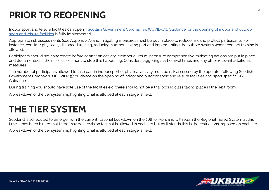### <span id="page-5-0"></span>**PRIOR TO REOPENING**

Indoor sport and leisure facilities can open if [Scottish Government Coronavirus \(COVID-19\): Guidance for the opening of indoor and outdoor](http://www.gov.scot/publications/coronavirus-covid-19-guidance-on-sport-and-leisure-facilities)  [sport and leisure facilities](http://www.gov.scot/publications/coronavirus-covid-19-guidance-on-sport-and-leisure-facilities) is fully implemented.

Appropriate risk assessments (see Appendix A) and mitigating measures must be put in place to reduce risk and protect participants. For instance, consider physically distanced training, reducing numbers taking part and implementing the bubble system where contact training is allowed.

Participants should not congregate before or after an activity. Member clubs must ensure comprehensive mitigating actions are put in place and documented in their risk assessment to stop this happening. Consider staggering start/arrival times and any other relevant additional measures.

The number of participants allowed to take part in indoor sport or physical activity must be risk assessed by the operator following Scottish Government Coronavirus (COVID-19): guidance on the opening of indoor and outdoor sport and leisure facilities and sport specific SGB Guidance.

During training you should have sole use of the facilities e.g. there should not be a thai boxing class taking place in the next room.

A breakdown of the tier system highlighting what is allowed at each stage is next.

### **THE TIER SYSTEM**

Scotland is scheduled to emerge from the current National Lockdown on the 26th of April and will return the Regional Tiered System at this time. It has been hinted that there may be a revision to what is allowed in each tier but as it stands this is the restrictions imposed on each tier.

A breakdown of the tier system highlighting what is allowed at each stage is next.



 $\hat{p}$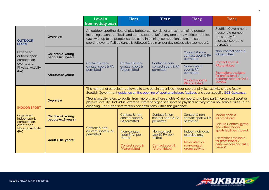<span id="page-6-0"></span>

|                                                                                                                                 |                                                   | Level o<br>from 19 July 2021                                                                                                                                                                                                                                                                                                                          | Tier <sub>1</sub>                                                                                       | Tier <sub>2</sub>                                                                                                                                                                                                                                                                                                                                                                                                                                                         | Tier <sub>3</sub>                                                                              | Tier <sub>4</sub>                                                                                                                                                                          |  |
|---------------------------------------------------------------------------------------------------------------------------------|---------------------------------------------------|-------------------------------------------------------------------------------------------------------------------------------------------------------------------------------------------------------------------------------------------------------------------------------------------------------------------------------------------------------|---------------------------------------------------------------------------------------------------------|---------------------------------------------------------------------------------------------------------------------------------------------------------------------------------------------------------------------------------------------------------------------------------------------------------------------------------------------------------------------------------------------------------------------------------------------------------------------------|------------------------------------------------------------------------------------------------|--------------------------------------------------------------------------------------------------------------------------------------------------------------------------------------------|--|
| <b>OUTDOOR</b><br><b>SPORT</b><br>Organised<br>outdoor sport,<br>competition,<br>events and<br><b>Physical Activity</b><br>(PA) | <b>Overview</b>                                   | An outdoor sporting 'field of play bubble' can consist of a maximum of 30 people<br>including coaches, officials and other support staff at any one time. Multiple bubbles,<br>each with up to 30 people, can be used in training, competition or small-scale<br>sporting events if all quidance is followed (200 max per day unless with exemption). | <b>Scottish Government</b><br>household number<br>rules apply for<br>exercise, sport and<br>recreation. |                                                                                                                                                                                                                                                                                                                                                                                                                                                                           |                                                                                                |                                                                                                                                                                                            |  |
|                                                                                                                                 | <b>Children &amp; Young</b><br>people (u18 years) | Contact & non-                                                                                                                                                                                                                                                                                                                                        | Contact & non-<br>Contact & non-<br>contact sport &<br>contact sport & PA<br>PApermitted<br>permitted   |                                                                                                                                                                                                                                                                                                                                                                                                                                                                           | Contact & non-<br>contact sport & PA<br>permitted                                              | Non-contact sport &<br>PApermitted<br>Contact sport &                                                                                                                                      |  |
|                                                                                                                                 | Adults (18+ years)                                | contact sport & PA<br>permitted                                                                                                                                                                                                                                                                                                                       |                                                                                                         | Non-contact<br>sport& PA<br>permitted<br>Contact sport &<br>PAprohibited                                                                                                                                                                                                                                                                                                                                                                                                  | PAprohibited<br>Exemptions available<br>for professional /<br>performancesport (ALL<br>Levels) |                                                                                                                                                                                            |  |
| <b>Overview</b>                                                                                                                 |                                                   |                                                                                                                                                                                                                                                                                                                                                       |                                                                                                         | The number of participants allowed to take part in organised indoor sport or physical activity should follow<br>Scottish Government guidance on the opening of sport and leisure facilities and sport specific SGB Guidance.<br>'Group' activity refers to adults, from more than 2 households (6 members) who take part in organised sport or<br>physical activity. 'Individual exercise' refers to organised sport or physical activity within household rules i.e. 1:1 |                                                                                                |                                                                                                                                                                                            |  |
| <b>INDOOR SPORT</b>                                                                                                             |                                                   | coaching. For further information see definitions within this guidance.                                                                                                                                                                                                                                                                               |                                                                                                         |                                                                                                                                                                                                                                                                                                                                                                                                                                                                           |                                                                                                |                                                                                                                                                                                            |  |
| Organised<br>indoor sport,<br>competition,<br>events and<br><b>Physical Activity</b><br>(PA)                                    | <b>Children &amp; Young</b><br>people (u18 years) | Contact & non-<br>contact sport & PA<br>permitted                                                                                                                                                                                                                                                                                                     | Contact & non-<br>contact sport &<br>PApermitted                                                        | Contact & non-<br>contact sport & PA<br>permitted                                                                                                                                                                                                                                                                                                                                                                                                                         | Contact & non-<br>contact sport & PA<br>permitted                                              | Indoor sport &<br>PAprohibited:<br>Leisure Centres, gyms<br>and other indoor<br>sportsfacilities closed.<br>Exemptions available<br>for professional /<br>performancesport (ALL<br>Levels) |  |
|                                                                                                                                 | Adults (18+ years)                                |                                                                                                                                                                                                                                                                                                                                                       | Non-contact<br>sport& PA per-<br>mitted<br>Contact sport &<br>PAprohibited                              | Non-contact<br>sport& PA per-<br>mitted<br>Contact sport &<br>PAprohibited                                                                                                                                                                                                                                                                                                                                                                                                | Indoor individual<br>exercise only<br>No contact or<br>non-contact<br>group activity           |                                                                                                                                                                                            |  |

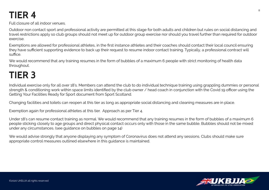### <span id="page-7-0"></span>**TIER 4**

Full closure of all indoor venues.

Outdoor non contact sport and professional activity are permitted at this stage for both adults and children but rules on social distancing and travel restrictions apply so club groups should not meet up for outdoor group exercise nor should you travel further than required for outdoor exercise.

Exemptions are allowed for professional athletes, in the first instance athletes and their coaches should contact their local council ensuring they have sufficient supporting evidence to back up their request to resume indoor contact training. Typically, a professional contract will suffice.

We would recommend that any training resumes in the form of bubbles of a maximum 6 people with strict monitoring of health data throughout.

### **TIER 3**

Individual exercise only for all over 18's. Members can attend the club to do individual technique training using grappling dummies or personal strength & conditioning work within space limits identified by the club owner / head coach in conjunction with the Covid 19 officer using the Getting Your Facilities Ready for Sport document from Sport Scotland.

Changing facilities and toilets can reopen at this tier as long as appropriate social distancing and cleaning measures are in place.

Exemption again for professional athletes at this tier. Approach as per Tier 4.

Under 18's can resume contact training as normal. We would recommend that any training resumes in the form of bubbles of a maximum 6 people sticking closely to age groups and direct physical contact occurs only with those in the same bubble. Bubbles should not be mixed under any circumstances. (see guidance on bubbles on page 14)

We would advise strongly that anyone displaying any symptom of Coronavirus does not attend any sessions. Clubs should make sure appropriate control measures outlined elsewhere in this guidance is maintained.

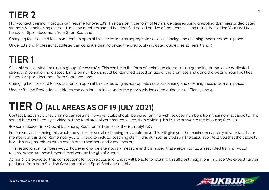### <span id="page-8-0"></span>**TIER 2**

Non-contact training in groups can resume for over 18's. This can be in the form of technique classes using grappling dummies or dedicated strength & conditioning classes. Limits on numbers should be identified based on size of the premises and using the Getting Your Facilities Ready for Sport document from Sport Scotland.

Changing facilities and toilets will remain open at this tier as long as appropriate social distancing and cleaning measures are in place.

Under 18's and Professional athletes can continue training under the previously indicated guidelines at Tiers 3 and 4.

### **TIER 1**

Still only non-contact training in groups for over 18's. This can be in the form of technique classes using grappling dummies or dedicated strength & conditioning classes. Limits on numbers should be identified based on size of the premises and using the Getting Your Facilities Ready for Sport document from Sport Scotland.

Changing facilities and toilets will remain open at this tier as long as appropriate social distancing and cleaning measures are in place.

Under 18's and Professional athletes can continue training under the previously indicated guidelines at Tiers 3 and 4.

### **TIER 0 (ALL AREAS AS OF 19 JULY 2021)**

Contact Brazilian Jiu Jitsu training can resume, however clubs should be using running with reduced numbers from their normal capacity. This should be calculated by working out the total area of your matted space, then dividing this by the answer to the following formula: -

(Personal Space (1m) + Social Distancing Requirement (1m as of the 19th July) ^2) .

For 2m social distancing this would be 9 , for 1m social distancing this would be 4. This will give you the maximum capacity of your facility for members at this time. Remember you will need to include coaching staff in this number as well so if the calculation tells you that the capacity is 24 this is 23 members plus 1 coach or 22 members and 2 coaches etc.

This restriction on numbers would however only be a temporary measure and it is hoped that a return to full unrestricted training would resume when we move beyond level zero on the 9th of August.

At Tier 0 it is expected that competitions for both adults and juniors will be able to return with sufficient mitigations in place. We expect further guidance from both Scottish Government and Sport Scotland on this.

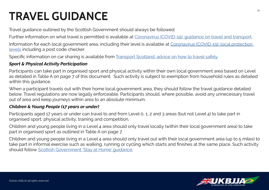## <span id="page-9-0"></span>**TRAVEL GUIDANCE**

Travel guidance outlined by the Scottish Government should always be followed.

Further information on what travel is permitted is available at [Coronavirus \(COVID-19\): guidance on travel and transport](https://www.gov.scot/publications/coronavirus-covid-19-guidance-on-travel-and-transport/).

Information for each local government area, including their level is available at [Coronavirus \(COVID-19\): local protection](https://www.gov.scot/publications/coronavirus-covid-19-protection-levels/)  [levels](https://www.gov.scot/publications/coronavirus-covid-19-protection-levels/) including a post code checker.

Specific information on car sharing is available from [Transport Scotland: advice on how to travel safely](http://www.transport.gov.scot/coronavirus-covid-19/transport-transition-plan/advice-on-how-to-travel-safely/#section-63888).

#### *Sport & Physical Activity Participation*

Participants can take part in organised sport and physical activity within their own local government area based on Level as detailed in Table A on page 7 of this document. Such activity is subject to exemption from household rules as detailed within this guidance.

When a participant travels out with their home local government area, they should follow the travel guidance detailed below. Travel regulations are now legally enforceable. Participants should, where possible, avoid any unnecessary travel out of area and keep journeys within area to an absolute minimum.

#### *Children & Young People (17 years or under)*

Participants aged 17 years or under can travel to and from Level 0, 1, 2 and 3 areas (but not Level 4) to take part in organised sport, physical activity, training and competition.

Children and young people living in a Level 4 area should only travel locally (within their local government area) to take part in organised sport as outlined in Table A on page 7.

Children and young people living in a Level 4 area should only travel out with their local government area (up to 5 miles) to take part in informal exercise such as walking, running or cycling which starts and finishes at the same place. Such activity should follow [Scottish Government 'Stay at Home' guidance.](https://www.gov.scot/publications/coronavirus-covid-19-stay-at-home-guidance/)

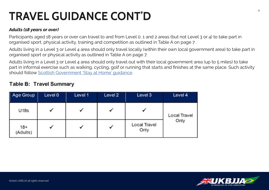## **TRAVEL GUIDANCE CONT'D**

#### *Adults (18 years or over)*

Participants aged 18 years or over can travel to and from Level 0, 1 and 2 areas (but not Level 3 or 4) to take part in organised sport, physical activity, training and competition as outlined in Table A on page 7 .

Adults living in a Level 3 or Level 4 area should only travel locally (within their own local government area) to take part in organised sport or physical activity as outlined in Table A on page 7.

Adults living in a Level 3 or Level 4 area should only travel out with their local government area (up to 5 miles) to take part in informal exercise such as walking, cycling, golf or running that starts and finishes at the same place. Such activity should follow [Scottish Government 'Stay at Home' guidance.](https://www.gov.scot/publications/coronavirus-covid-19-stay-at-home-guidance/)

| Age Group         | Level 0 | Level 1 | Level 2      | Level 3              | Level 4      |
|-------------------|---------|---------|--------------|----------------------|--------------|
| U18s              |         |         |              |                      | Local Travel |
| $18+$<br>(Adults) |         | v       | $\checkmark$ | Local Travel<br>Only | Only         |

#### **Table B: Travel Summary**

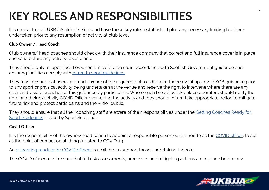## <span id="page-11-0"></span>**KEY ROLES AND RESPONSIBILITIES**

It is crucial that all UKBJJA clubs in Scotland have these key roles established plus any necessary training has been undertaken prior to any resumption of activity at club level

#### **Club Owner / Head Coach**

Club owners/ head coaches should check with their insurance company that correct and full insurance cover is in place and valid before any activity takes place.

They should only re-open facilities when it is safe to do so, in accordance with Scottish Government guidance and ensuring facilities comply with [return to sport guidelines.](https://sportscotland.org.uk/covid-19/getting-your-facilities-fit-for-sport/)

They must ensure that users are made aware of the requirement to adhere to the relevant approved SGB guidance prior to any sport or physical activity being undertaken at the venue and reserve the right to intervene where there are any clear and visible breaches of this guidance by participants. Where such breaches take place operators should notify the nominated club/activity COVID Officer overseeing the activity and they should in turn take appropriate action to mitigate future risk and protect participants and the wider public.

They should ensure that all their coaching staff are aware of their responsibilities under the Getting Coaches Ready for [Sport Guidelines](https://sportscotland.org.uk/covid-19/getting-coaches-ready-for-sport/) issued by Sport Scotland.

#### **Covid Officer**

It is the responsibility of the owner/head coach to appoint a responsible person/s, referred to as the [COVID officer](https://sportscotland.org.uk/media/5950/sportscotland-covid-officer.pdf), to act as the point of contact on all things related to COVID-19.

An [e-learning module for COVID officers](https://rise.articulate.com/share/LlEWUj-o23H_4gC1AF002jdxdrCucQC0#/) is available to support those undertaking the role.

The COVID officer must ensure that full risk assessments, processes and mitigating actions are in place before any

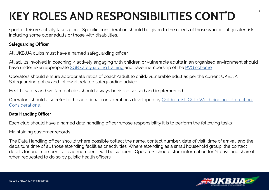## <span id="page-12-0"></span>**KEY ROLES AND RESPONSIBILITIES CONT'D**

sport or leisure activity takes place. Specific consideration should be given to the needs of those who are at greater risk including some older adults or those with disabilities.

#### **Safeguarding Officer**

All UKBJJA clubs must have a named safeguarding officer.

All adults involved in coaching / actively engaging with children or vulnerable adults in an organised environment should have undertaken appropriate [SGB safeguarding training](https://www.ukbjja.org/safeguarding-training/) and have membership of the [PVG scheme.](https://www.ukbjja.org/dbs-checks/)

Operators should ensure appropriate ratios of coach/adult to child/vulnerable adult as per the current UKBJJA Safeguarding policy and follow all related safeguarding advice.

Health, safety and welfare policies should always be risk assessed and implemented.

Operators should also refer to the additional considerations developed by [Children 1st: Child Wellbeing and Protection](https://sportscotland.org.uk/media/5774/cyp-return-to-sport-after-covid-19.pdf)  [Considerations.](https://sportscotland.org.uk/media/5774/cyp-return-to-sport-after-covid-19.pdf)

#### **Data Handling Officer**

Each club should have a named data handling officer whose responsibility it is to perform the following tasks: -

#### Maintaining customer records

The Data Handling officer should where possible collect the name, contact number, date of visit, time of arrival, and the departure time of all those attending facilities or activities. Where attending as a small household group, the contact details for one member – a 'lead member' – will be sufficient. Operators should store information for 21 days and share it when requested to do so by public health officers.

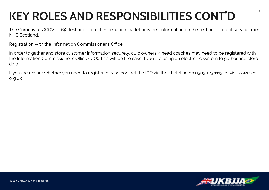## **KEY ROLES AND RESPONSIBILITIES CONT'D**

The Coronavirus (COVID-19): Test and Protect information leaflet provides information on the Test and Protect service from NHS Scotland.

#### Registration with the Information Commissioner's Office

In order to gather and store customer information securely, club owners / head coaches may need to be registered with the Information Commissioner's Office (ICO). This will be the case if you are using an electronic system to gather and store data.

If you are unsure whether you need to register, please contact the ICO via their helpline on 0303 123 1113, or visit www.ico. org.uk

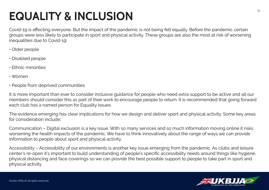## <span id="page-14-0"></span>**EQUALITY & INCLUSION**

Covid-19 is affecting everyone. But the impact of the pandemic is not being felt equally. Before the pandemic certain groups were less likely to participate in sport and physical activity. These groups are also the most at risk of worsening inequalities due to Covid-19:

- Older people
- Disabled people
- Ethnic minorities
- Women
- People from deprived communities

It is more important than ever to consider inclusive guidance for people who need extra support to be active and all our members should consider this as part of their work to encourage people to return. It is recommended that going forward each club has a named person for Equality issues.

The evidence emerging has clear implications for how we design and deliver sport and physical activity. Some key areas for consideration include;

Communication – Digital exclusion is a key issue. With so many services and so much information moving online it risks worsening the health impacts of the pandemic. We have to think innovatively about the range of ways we can provide information to people about sport and physical activity.

Accessibility – Accessibility of our environments is another key issue emerging from the pandemic. As clubs and leisure center's re-open it's important to build understanding of people's specific accessibility needs around things like hygiene, physical distancing and face coverings so we can provide the best possible support to people to take part in sport and physical activity.

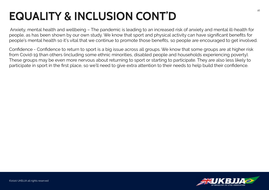## **EQUALITY & INCLUSION CONT'D**

 Anxiety, mental health and wellbeing – The pandemic is leading to an increased risk of anxiety and mental ill-health for people, as has been shown by our own study. We know that sport and physical activity can have significant benefits for people's mental health so it's vital that we continue to promote those benefits, so people are encouraged to get involved.

Confidence - Confidence to return to sport is a big issue across all groups. We know that some groups are at higher risk from Covid-19 than others (including some ethnic minorities, disabled people and households experiencing poverty). These groups may be even more nervous about returning to sport or starting to participate. They are also less likely to participate in sport in the first place, so we'll need to give extra attention to their needs to help build their confidence.

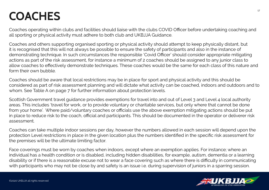### <span id="page-16-0"></span>**COACHES**

Coaches operating within clubs and facilities should liaise with the clubs COVID Officer before undertaking coaching and all sporting or physical activity must adhere to both club and UKBJJA Guidance.

Coaches and others supporting organised sporting or physical activity should attempt to keep physically distant, but it is recognised that this will not always be possible to ensure the safety of participants and also in the instance of demonstrating technique. In such circumstances the responsible 'Covid Officer' should consider appropriate mitigating actions as part of the risk assessment, for instance a minimum of 2 coaches should be assigned to any junior class to allow coaches to effectively demonstrate techniques. These coaches would be the same for each class of this nature and form their own bubble.

Coaches should be aware that local restrictions may be in place for sport and physical activity and this should be considered as part of risk assessment planning and will dictate what activity can be coached, indoors and outdoors and to whom. See Table A on page 7 for further information about protection levels.

Scottish Government travel guidance provides exemptions for travel into and out of Level 3 and Level 4 local authority areas. This includes 'travel for work, or to provide voluntary or charitable services, but only where that cannot be done from your home'. Where paid/voluntary coaches or officials use the above exemption mitigating actions should be put in place to reduce risk to the coach, official and participants. This should be documented in the operator or deliverer risk assessment.

Coaches can take multiple indoor sessions per day, however the numbers allowed in each session will depend upon the protection Level restrictions in place in the given location plus the numbers identified in the specific risk assessment for the premises will be the ultimate limiting factor.

Face coverings must be worn by coaches when indoors, except where an exemption applies. For instance; where an individual has a health condition or is disabled, including hidden disabilities, for example, autism, dementia or a learning disability or if there is a reasonable excuse not to wear a face covering such as where there is difficulty in communicating with participants who may not be close by and safety is an issue i.e. during supervision of juniors in a sparring session.

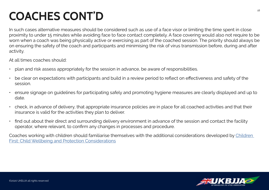### **COACHES CONT'D**

In such cases alternative measures should be considered such as use of a face visor or limiting the time spent in close proximity to under 15 minutes while avoiding face to face contact completely. A face covering would also not require to be worn when a coach was being physically active or exercising as part of the coached session. The priority should always be on ensuring the safety of the coach and participants and minimising the risk of virus transmission before, during and after activity.

At all times coaches should:

- plan and risk assess appropriately for the session in advance, be aware of responsibilities.
- be clear on expectations with participants and build in a review period to reflect on effectiveness and safety of the session.
- ensure signage on guidelines for participating safely and promoting hygiene measures are clearly displayed and up to date.
- check, in advance of delivery, that appropriate insurance policies are in place for all coached activities and that their insurance is valid for the activities they plan to deliver.
- find out about their direct and surrounding delivery environment in advance of the session and contact the facility operator, where relevant, to confirm any changes in processes and procedure.

Coaches working with children should familiarise themselves with the additional considerations developed by [Children](https://sportscotland.org.uk/media/5774/cyp-return-to-sport-after-covid-19.pdf)  [First: Child Wellbeing and Protection Considerations](https://sportscotland.org.uk/media/5774/cyp-return-to-sport-after-covid-19.pdf)

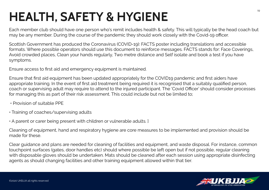# <span id="page-18-0"></span>**HEALTH, SAFETY & HYGIENE**

Each member club should have one person who's remit includes health & safety. This will typically be the head coach but may be any member. During the course of the pandemic they should work closely with the Covid-19 officer.

Scottish Government has produced the Coronavirus (COVID-19): FACTS poster including translations and accessible formats. Where possible operators should use this document to reinforce messages. FACTS stands for: Face Coverings, Avoid crowded places, Clean your hands regularly, Two metre distance and Self isolate and book a test if you have symptoms.

Ensure access to first aid and emergency equipment is maintained.

Ensure that first aid equipment has been updated appropriately for the COVID19 pandemic and first aiders have appropriate training. In the event of first aid treatment being required it is recognised that a suitably qualified person, coach or supervising adult may require to attend to the injured participant. The 'Covid Officer' should consider processes for managing this as part of their risk assessment. This could include but not be limited to;

- Provision of suitable PPE
- Training of coaches/supervising adults
- A parent or carer being present with children or vulnerable adults. ]

Cleaning of equipment, hand and respiratory hygiene are core measures to be implemented and provision should be made for these.

Clear guidance and plans are needed for cleaning of facilities and equipment, and waste disposal. For instance, common touchpoint surfaces (gates, door handles etc) should where possible be left open but if not possible, regular cleaning with disposable gloves should be undertaken. Mats should be cleaned after each session using appropriate disinfecting agents as should changing facilities and other training equipment allowed within that tier.

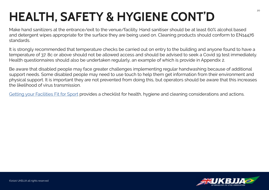# **HEALTH, SAFETY & HYGIENE CONT'D**

Make hand sanitizers at the entrance/exit to the venue/facility. Hand sanitiser should be at least 60% alcohol based and detergent wipes appropriate for the surface they are being used on. Cleaning products should conform to EN14476 standards.

It is strongly recommended that temperature checks be carried out on entry to the building and anyone found to have a temperature of 37. 8c or above should not be allowed access and should be advised to seek a Covid 19 test immediately. Health questionnaires should also be undertaken regularly, an example of which is provide in Appendix 2.

Be aware that disabled people may face greater challenges implementing regular handwashing because of additional support needs. Some disabled people may need to use touch to help them get information from their environment and physical support. It is important they are not prevented from doing this, but operators should be aware that this increases the likelihood of virus transmission.

[Getting your Facilities Fit for Sport](https://sportscotland.org.uk/covid-19/getting-your-facilities-fit-for-sport/) provides a checklist for health, hygiene and cleaning considerations and actions.

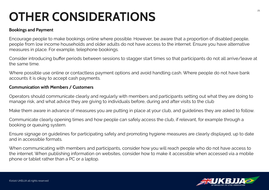# <span id="page-20-0"></span>**OTHER CONSIDERATIONS**

#### **Bookings and Payment**

Encourage people to make bookings online where possible. However, be aware that a proportion of disabled people, people from low income households and older adults do not have access to the internet. Ensure you have alternative measures in place. For example, telephone bookings.

Consider introducing buffer periods between sessions to stagger start times so that participants do not all arrive/leave at the same time.

Where possible use online or contactless payment options and avoid handling cash. Where people do not have bank accounts it is okay to accept cash payments.

#### **Communication with Members / Customers**

Operators should communicate clearly and regularly with members and participants setting out what they are doing to manage risk, and what advice they are giving to individuals before, during and after visits to the club

Make them aware in advance of measures you are putting in place at your club, and guidelines they are asked to follow.

Communicate clearly opening times and how people can safely access the club, if relevant, for example through a booking or queuing system.

Ensure signage on guidelines for participating safely and promoting hygiene measures are clearly displayed, up to date and in accessible formats.

When communicating with members and participants, consider how you will reach people who do not have access to the internet. When publishing information on websites, consider how to make it accessible when accessed via a mobile phone or tablet rather than a PC or a laptop.

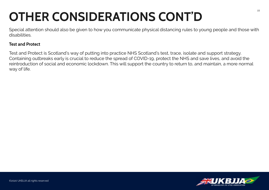# **OTHER CONSIDERATIONS CONT'D**

Special attention should also be given to how you communicate physical distancing rules to young people and those with disabilities.

#### **Test and Protect**

Test and Protect is Scotland's way of putting into practice NHS Scotland's test, trace, isolate and support strategy. Containing outbreaks early is crucial to reduce the spread of COVID-19, protect the NHS and save lives, and avoid the reintroduction of social and economic lockdown. This will support the country to return to, and maintain, a more normal way of life.

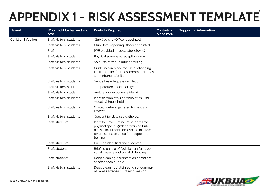# <span id="page-22-0"></span>**APPENDIX 1 - RISK ASSESSMENT TEMPLATE** 23

| <b>Hazard</b>      | Who might be harmed and<br>how? | <b>Controls Required</b>                                                                                                                                                        | Controls in<br>place (Y/N) | <b>Supporting information</b> |
|--------------------|---------------------------------|---------------------------------------------------------------------------------------------------------------------------------------------------------------------------------|----------------------------|-------------------------------|
| Covid-19 infection | Staff, visitors, students       | Club Covid-19 Officer appointed                                                                                                                                                 |                            |                               |
|                    | Staff, visitors, students       | Club Data Reporting Officer appointed                                                                                                                                           |                            |                               |
|                    | Staff                           | PPE provided (masks, latex gloves)                                                                                                                                              |                            |                               |
|                    | Staff, visitors, students       | Physical screens at reception areas                                                                                                                                             |                            |                               |
|                    | Staff, visitors, students       | Sole use of venue during training                                                                                                                                               |                            |                               |
|                    | Staff, visitors, students       | Guidelines in place for use of changing<br>facilities, toilet facilities, communal areas<br>and entrances/exits                                                                 |                            |                               |
|                    | Staff, visitors, students       | Venue has adequate ventilation                                                                                                                                                  |                            |                               |
|                    | Staff, visitors, students       | Temperature checks (daily)                                                                                                                                                      |                            |                               |
|                    | Staff, visitors, students       | Wellness questionnaire (daily)                                                                                                                                                  |                            |                               |
|                    | Staff, visitors, students       | Identification of vulnerable/at risk indi-<br>viduals & households                                                                                                              |                            |                               |
|                    | Staff, visitors, students       | Contact details gathered for Test and<br>Protect                                                                                                                                |                            |                               |
|                    | Staff, visitors, students       | Consent for data use gathered                                                                                                                                                   |                            |                               |
|                    | Staff, students                 | Identify maximum no. of students for<br>physical space (9m2 per training bub-<br>ble, sufficient additional space to allow<br>for 2m social distance for people not<br>training |                            |                               |
|                    | Staff, students                 | Bubbles identified and allocated                                                                                                                                                |                            |                               |
|                    | Staff, students                 | Briefing on use of facilities, uniform, per-<br>sonal hygiene and social distancing                                                                                             |                            |                               |
|                    | Staff, students                 | Deep cleaning / disinfection of mat are-<br>as after each bubble                                                                                                                |                            |                               |
|                    | Staff, visitors, students       | Deep cleaning / disinfection of commu-<br>nal areas after each training session                                                                                                 |                            |                               |

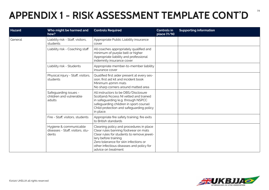### **APPENDIX 1 - RISK ASSESSMENT TEMPLATE CONT'D**

| <b>Hazard</b> | Who might be harmed and<br>how?                                     | <b>Controls Required</b>                                                                                                                                                                                                                                         | <b>Controls in</b><br>place (Y/N) | <b>Supporting information</b> |
|---------------|---------------------------------------------------------------------|------------------------------------------------------------------------------------------------------------------------------------------------------------------------------------------------------------------------------------------------------------------|-----------------------------------|-------------------------------|
| General       | Liability risk - Staff, visitors,<br>students                       | Appropriate Public Liability insurance<br>cover                                                                                                                                                                                                                  |                                   |                               |
|               | Liability risk - Coaching staff                                     | All coaches appropriately qualified and<br>minimum of purple belt or higher<br>Appropriate liability and professional<br>indemnity insurance cover                                                                                                               |                                   |                               |
|               | Liability risk - Students                                           | Appropriate member-to-member liability<br>insurance cover                                                                                                                                                                                                        |                                   |                               |
|               | Physical injury - Staff, visitors,<br>students                      | Qualified first aider present at every ses-<br>sion: first aid kit and incident book<br>Minimum 40mm mats<br>No sharp corners around matted area                                                                                                                 |                                   |                               |
|               | Safeguarding issues -<br>children and vulnerable<br>adults          | All instructors to be DBS/Disclosure<br>Scotland/Access NI vetted and trained<br>in safeguarding (e.g. through NSPCC<br>safeguarding children in sport course).<br>Child protection and safeguarding policy<br>in place.                                         |                                   |                               |
|               | Fire - Staff, visitors, students                                    | Appropriate fire safety training; fire exits<br>to British standards                                                                                                                                                                                             |                                   |                               |
|               | Hygiene & communicable<br>diseases - Staff, visitors, stu-<br>dents | Cleaning policy and procedures in place<br>Clear rules banning footwear on mats<br>Clear rules for students to remove jewel-<br>lery before training<br>Zero tolerance for skin infections or<br>other infectious diseases and policy for<br>advice on treatment |                                   |                               |

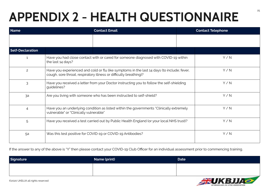# **APPENDIX 2 - HEALTH QUESTIONNAIRE**

| <b>Name</b>             |                                                                                                                                                                 | <b>Contact Email</b> |  | <b>Contact Telephone</b> |
|-------------------------|-----------------------------------------------------------------------------------------------------------------------------------------------------------------|----------------------|--|--------------------------|
|                         |                                                                                                                                                                 |                      |  |                          |
| <b>Self-Declaration</b> |                                                                                                                                                                 |                      |  |                          |
| $\mathbf{1}$            | Have you had close contact with or cared for someone diagnosed with COVID-19 within<br>the last 14 days?                                                        |                      |  | Y/N                      |
| $\overline{c}$          | Have you experienced and cold or flu like symptoms in the last 14 days (to include; fever,<br>cough, sore throat, respiratory illness or difficulty breathing)? |                      |  | Y/N                      |
| 3                       | Have you received a letter from your Doctor instructing you to follow the self-shielding<br>guidelines?                                                         |                      |  | Y/N                      |
| 3a                      | Are you living with someone who has been instructed to self-shield?                                                                                             |                      |  | Y/N                      |
| $\overline{4}$          | Have you an underlying condition as listed within the governments "Clinically extremely<br>vulnerable" or "Clinically vulnerable"                               |                      |  | Y/N                      |
| 5                       | Have you received a test carried out by Public Health England (or your local NHS trust)?                                                                        |                      |  | Y/N                      |
| 5a                      | Was this test positive for COVID-19 or COVID-19 Antibodies?                                                                                                     |                      |  | Y/N                      |

If the answer to any of the above is "Y" then please contact your COVID-19 Club Officer for an individual assessment prior to commencing training.

| Signature | Name (print) | Date |
|-----------|--------------|------|
|           |              |      |
|           |              |      |



25

©2020 UKBJJA all rights reserved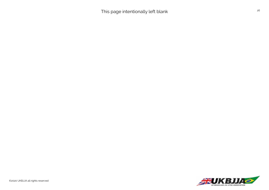This page intentionally left blank 26 and 26 and 26 and 26 and 26 and 26 and 26 and 26 and 26 and 26 and 26 and 26 and 26 and 26 and 26 and 26 and 26 and 26 and 26 and 26 and 26 and 26 and 26 and 26 and 26 and 26 and 26 an

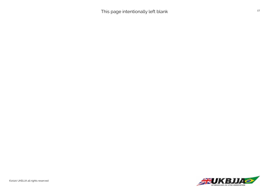This page intentionally left blank 27 and 27 and 27 and 27 and 27 and 27 and 27 and 27 and 27 and 27 and 27 and 27